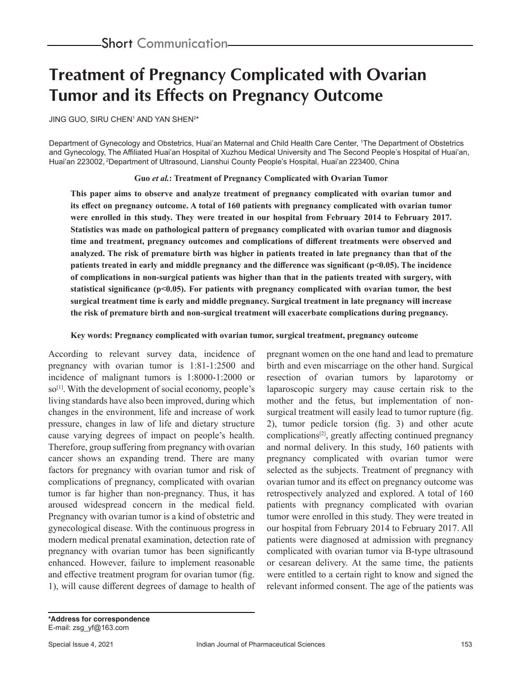# **Treatment of Pregnancy Complicated with Ovarian Tumor and its Effects on Pregnancy Outcome**

JING GUO, SIRU CHEN' AND YAN SHEN<sup>2\*</sup>

Department of Gynecology and Obstetrics, Huai'an Maternal and Child Health Care Center, 1 The Department of Obstetrics and Gynecology, The Affiliated Huai'an Hospital of Xuzhou Medical University and The Second People's Hospital of Huai'an, Huai'an 223002, 2Department of Ultrasound, Lianshui County People's Hospital, Huai'an 223400, China

**Guo** *et al.***: Treatment of Pregnancy Complicated with Ovarian Tumor**

**This paper aims to observe and analyze treatment of pregnancy complicated with ovarian tumor and its effect on pregnancy outcome. A total of 160 patients with pregnancy complicated with ovarian tumor were enrolled in this study. They were treated in our hospital from February 2014 to February 2017. Statistics was made on pathological pattern of pregnancy complicated with ovarian tumor and diagnosis time and treatment, pregnancy outcomes and complications of different treatments were observed and analyzed. The risk of premature birth was higher in patients treated in late pregnancy than that of the patients treated in early and middle pregnancy and the difference was significant (p<0.05). The incidence of complications in non-surgical patients was higher than that in the patients treated with surgery, with statistical significance (p<0.05). For patients with pregnancy complicated with ovarian tumor, the best surgical treatment time is early and middle pregnancy. Surgical treatment in late pregnancy will increase the risk of premature birth and non-surgical treatment will exacerbate complications during pregnancy.**

**Key words: Pregnancy complicated with ovarian tumor, surgical treatment, pregnancy outcome**

According to relevant survey data, incidence of pregnancy with ovarian tumor is 1:81-1:2500 and incidence of malignant tumors is 1:8000-1:2000 or so<sup>[1]</sup>. With the development of social economy, people's living standards have also been improved, during which changes in the environment, life and increase of work pressure, changes in law of life and dietary structure cause varying degrees of impact on people's health. Therefore, group suffering from pregnancy with ovarian cancer shows an expanding trend. There are many factors for pregnancy with ovarian tumor and risk of complications of pregnancy, complicated with ovarian tumor is far higher than non-pregnancy. Thus, it has aroused widespread concern in the medical field. Pregnancy with ovarian tumor is a kind of obstetric and gynecological disease. With the continuous progress in modern medical prenatal examination, detection rate of pregnancy with ovarian tumor has been significantly enhanced. However, failure to implement reasonable and effective treatment program for ovarian tumor (fig. 1), will cause different degrees of damage to health of pregnant women on the one hand and lead to premature birth and even miscarriage on the other hand. Surgical resection of ovarian tumors by laparotomy or laparoscopic surgery may cause certain risk to the mother and the fetus, but implementation of nonsurgical treatment will easily lead to tumor rupture (fig. 2), tumor pedicle torsion (fig. 3) and other acute complications[2], greatly affecting continued pregnancy and normal delivery. In this study, 160 patients with pregnancy complicated with ovarian tumor were selected as the subjects. Treatment of pregnancy with ovarian tumor and its effect on pregnancy outcome was retrospectively analyzed and explored. A total of 160 patients with pregnancy complicated with ovarian tumor were enrolled in this study. They were treated in our hospital from February 2014 to February 2017. All patients were diagnosed at admission with pregnancy complicated with ovarian tumor via B-type ultrasound or cesarean delivery. At the same time, the patients were entitled to a certain right to know and signed the relevant informed consent. The age of the patients was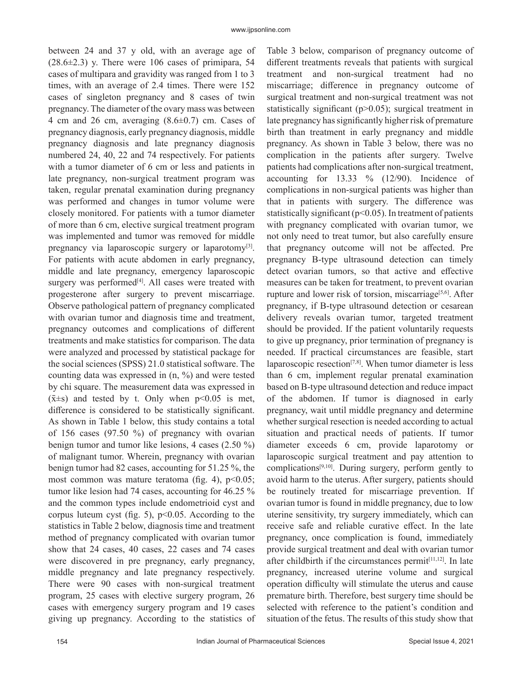between 24 and 37 y old, with an average age of  $(28.6\pm 2.3)$  y. There were 106 cases of primipara, 54 cases of multipara and gravidity was ranged from 1 to 3 times, with an average of 2.4 times. There were 152 cases of singleton pregnancy and 8 cases of twin pregnancy. The diameter of the ovary mass was between 4 cm and 26 cm, averaging (8.6±0.7) cm. Cases of pregnancy diagnosis, early pregnancy diagnosis, middle pregnancy diagnosis and late pregnancy diagnosis numbered 24, 40, 22 and 74 respectively. For patients with a tumor diameter of 6 cm or less and patients in late pregnancy, non-surgical treatment program was taken, regular prenatal examination during pregnancy was performed and changes in tumor volume were closely monitored. For patients with a tumor diameter of more than 6 cm, elective surgical treatment program was implemented and tumor was removed for middle pregnancy via laparoscopic surgery or laparotomy<sup>[3]</sup>. For patients with acute abdomen in early pregnancy, middle and late pregnancy, emergency laparoscopic surgery was performed<sup>[4]</sup>. All cases were treated with progesterone after surgery to prevent miscarriage. Observe pathological pattern of pregnancy complicated with ovarian tumor and diagnosis time and treatment, pregnancy outcomes and complications of different treatments and make statistics for comparison. The data were analyzed and processed by statistical package for the social sciences (SPSS) 21.0 statistical software. The counting data was expressed in (n, %) and were tested by chi square. The measurement data was expressed in  $(\bar{x} \pm s)$  and tested by t. Only when p<0.05 is met, difference is considered to be statistically significant. As shown in Table 1 below, this study contains a total of 156 cases (97.50 %) of pregnancy with ovarian benign tumor and tumor like lesions, 4 cases (2.50 %) of malignant tumor. Wherein, pregnancy with ovarian benign tumor had 82 cases, accounting for 51.25 %, the most common was mature teratoma (fig. 4),  $p<0.05$ ; tumor like lesion had 74 cases, accounting for 46.25 % and the common types include endometrioid cyst and corpus luteum cyst (fig. 5),  $p<0.05$ . According to the statistics in Table 2 below, diagnosis time and treatment method of pregnancy complicated with ovarian tumor show that 24 cases, 40 cases, 22 cases and 74 cases were discovered in pre pregnancy, early pregnancy, middle pregnancy and late pregnancy respectively. There were 90 cases with non-surgical treatment program, 25 cases with elective surgery program, 26 cases with emergency surgery program and 19 cases giving up pregnancy. According to the statistics of Table 3 below, comparison of pregnancy outcome of different treatments reveals that patients with surgical treatment and non-surgical treatment had no miscarriage; difference in pregnancy outcome of surgical treatment and non-surgical treatment was not statistically significant (p>0.05); surgical treatment in late pregnancy has significantly higher risk of premature birth than treatment in early pregnancy and middle pregnancy. As shown in Table 3 below, there was no complication in the patients after surgery. Twelve patients had complications after non-surgical treatment, accounting for 13.33 % (12/90). Incidence of complications in non-surgical patients was higher than that in patients with surgery. The difference was statistically significant  $(p<0.05)$ . In treatment of patients with pregnancy complicated with ovarian tumor, we not only need to treat tumor, but also carefully ensure that pregnancy outcome will not be affected. Pre pregnancy B-type ultrasound detection can timely detect ovarian tumors, so that active and effective measures can be taken for treatment, to prevent ovarian rupture and lower risk of torsion, miscarriage<sup>[5,6]</sup>. After pregnancy, if B-type ultrasound detection or cesarean delivery reveals ovarian tumor, targeted treatment should be provided. If the patient voluntarily requests to give up pregnancy, prior termination of pregnancy is needed. If practical circumstances are feasible, start laparoscopic resection $[7,8]$ . When tumor diameter is less than 6 cm, implement regular prenatal examination based on B-type ultrasound detection and reduce impact of the abdomen. If tumor is diagnosed in early pregnancy, wait until middle pregnancy and determine whether surgical resection is needed according to actual situation and practical needs of patients. If tumor diameter exceeds 6 cm, provide laparotomy or laparoscopic surgical treatment and pay attention to complications[9,10]. During surgery, perform gently to avoid harm to the uterus. After surgery, patients should be routinely treated for miscarriage prevention. If ovarian tumor is found in middle pregnancy, due to low uterine sensitivity, try surgery immediately, which can receive safe and reliable curative effect. In the late pregnancy, once complication is found, immediately provide surgical treatment and deal with ovarian tumor after childbirth if the circumstances permit $[11,12]$ . In late pregnancy, increased uterine volume and surgical operation difficulty will stimulate the uterus and cause premature birth. Therefore, best surgery time should be selected with reference to the patient's condition and situation of the fetus. The results of this study show that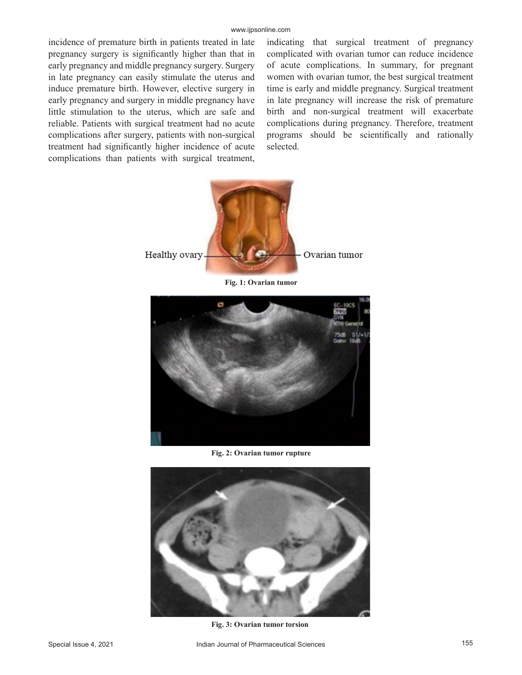incidence of premature birth in patients treated in late pregnancy surgery is significantly higher than that in early pregnancy and middle pregnancy surgery. Surgery in late pregnancy can easily stimulate the uterus and induce premature birth. However, elective surgery in early pregnancy and surgery in middle pregnancy have little stimulation to the uterus, which are safe and reliable. Patients with surgical treatment had no acute complications after surgery, patients with non-surgical treatment had significantly higher incidence of acute complications than patients with surgical treatment, indicating that surgical treatment of pregnancy complicated with ovarian tumor can reduce incidence of acute complications. In summary, for pregnant women with ovarian tumor, the best surgical treatment time is early and middle pregnancy. Surgical treatment in late pregnancy will increase the risk of premature birth and non-surgical treatment will exacerbate complications during pregnancy. Therefore, treatment programs should be scientifically and rationally selected.



**Fig. 2: Ovarian tumor rupture**



**Fig. 3: Ovarian tumor torsion**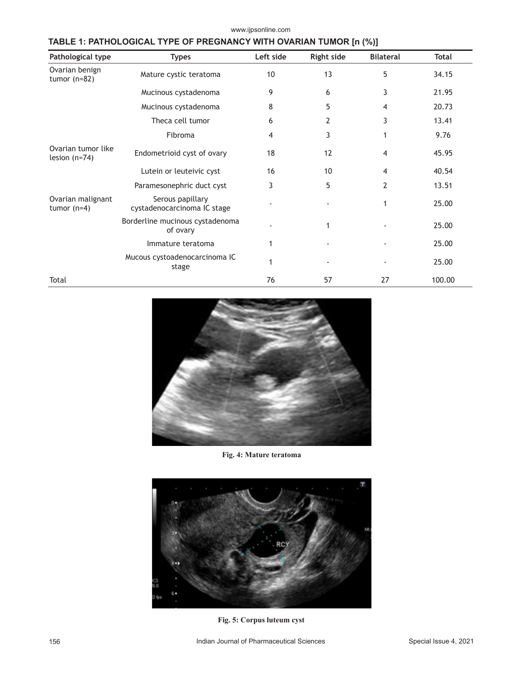| Pathological type                     | <b>Types</b>                                    | Left side | <b>Right side</b> | <b>Bilateral</b>         | <b>Total</b> |
|---------------------------------------|-------------------------------------------------|-----------|-------------------|--------------------------|--------------|
| Ovarian benign<br>tumor $(n=82)$      | Mature cystic teratoma                          | 10        | 13                | 5                        | 34.15        |
|                                       | Mucinous cystadenoma                            | 9         | 6                 | 3                        | 21.95        |
|                                       | Mucinous cystadenoma                            | 8         | 5                 | 4                        | 20.73        |
|                                       | Theca cell tumor                                | 6         | 2                 | 3                        | 13.41        |
|                                       | Fibroma                                         | 4         | 3                 | 1                        | 9.76         |
| Ovarian tumor like<br>lesion $(n=74)$ | Endometrioid cyst of ovary                      | 18        | 12                | $\overline{\mathcal{A}}$ | 45.95        |
|                                       | Lutein or leuteivic cyst                        | 16        | 10                | 4                        | 40.54        |
|                                       | Paramesonephric duct cyst                       | 3         | 5                 | $\overline{2}$           | 13.51        |
| Ovarian malignant<br>tumor $(n=4)$    | Serous papillary<br>cystadenocarcinoma IC stage |           |                   | 1                        | 25.00        |
|                                       | Borderline mucinous cystadenoma<br>of ovary     |           | 1                 |                          | 25.00        |
|                                       | Immature teratoma                               | 1         |                   |                          | 25.00        |
|                                       | Mucous cystoadenocarcinoma IC<br>stage          | 1         |                   |                          | 25.00        |
| Total                                 |                                                 | 76        | 57                | 27                       | 100.00       |

www.ijpsonline.com

# **TABLE 1: PATHOLOGICAL TYPE OF PREGNANCY WITH OVARIAN TUMOR [n (%)]**



#### **Fig. 4: Mature teratoma**



**Fig. 5: Corpus luteum cyst**